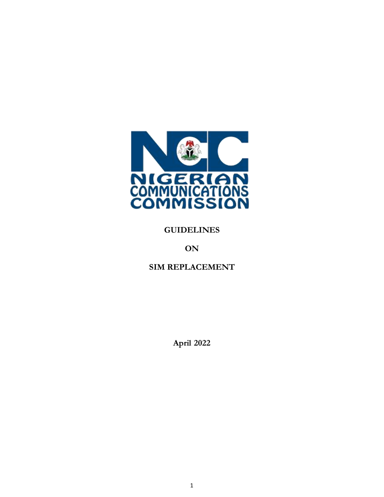

### **GUIDELINES**

## **ON**

## **SIM REPLACEMENT**

**April 2022**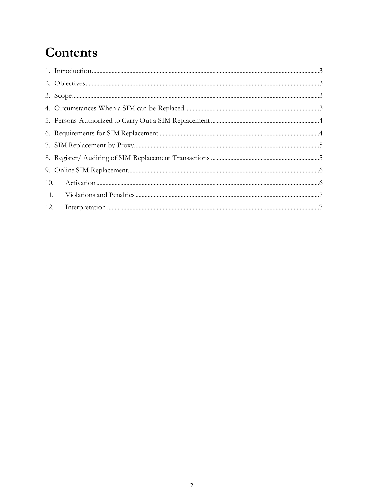# Contents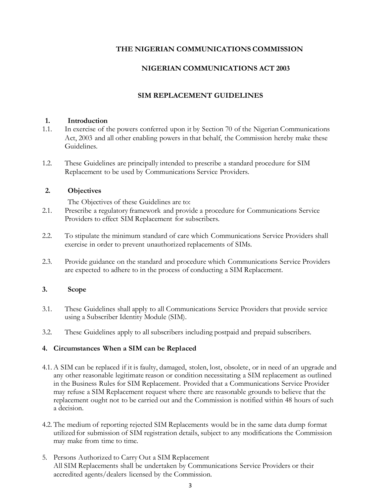#### **THE NIGERIAN COMMUNICATIONS COMMISSION**

#### **NIGERIAN COMMUNICATIONS ACT 2003**

#### **SIM REPLACEMENT GUIDELINES**

#### **1. Introduction**

- 1.1. In exercise of the powers conferred upon it by Section 70 of the Nigerian Communications Act, 2003 and all other enabling powers in that behalf, the Commission hereby make these Guidelines.
- 1.2. These Guidelines are principally intended to prescribe a standard procedure for SIM Replacement to be used by Communications Service Providers.

#### **2. Objectives**

The Objectives of these Guidelines are to:

- 2.1. Prescribe a regulatory framework and provide a procedure for Communications Service Providers to effect SIM Replacement for subscribers.
- 2.2. To stipulate the minimum standard of care which Communications Service Providers shall exercise in order to prevent unauthorized replacements of SIMs.
- 2.3. Provide guidance on the standard and procedure which Communications Service Providers are expected to adhere to in the process of conducting a SIM Replacement.

#### **3. Scope**

- 3.1. These Guidelines shall apply to all Communications Service Providers that provide service using a Subscriber Identity Module (SIM).
- 3.2. These Guidelines apply to all subscribers including postpaid and prepaid subscribers.

#### **4. Circumstances When a SIM can be Replaced**

- 4.1. A SIM can be replaced if it is faulty, damaged, stolen, lost, obsolete, or in need of an upgrade and any other reasonable legitimate reason or condition necessitating a SIM replacement as outlined in the Business Rules for SIM Replacement. Provided that a Communications Service Provider may refuse a SIM Replacement request where there are reasonable grounds to believe that the replacement ought not to be carried out and the Commission is notified within 48 hours of such a decision.
- 4.2. The medium of reporting rejected SIM Replacements would be in the same data dump format utilized for submission of SIM registration details, subject to any modifications the Commission may make from time to time.
- 5. Persons Authorized to Carry Out a SIM Replacement All SIM Replacements shall be undertaken by Communications Service Providers or their accredited agents/dealers licensed by the Commission.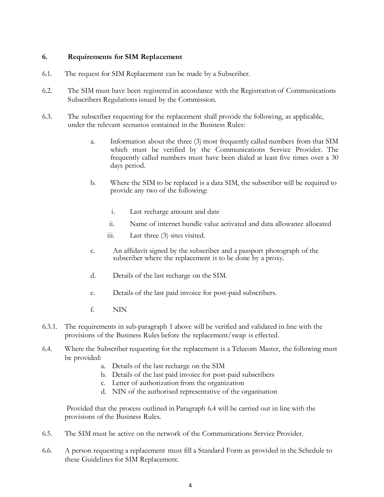#### **6. Requirements for SIM Replacement**

- 6.1. The request for SIM Replacement can be made by a Subscriber.
- 6.2. The SIM must have been registered in accordance with the Registration of Communications Subscribers Regulations issued by the Commission.
- 6.3. The subscriber requesting for the replacement shall provide the following, as applicable, under the relevant scenarios contained in the Business Rules:
	- a. Information about the three (3) most frequently called numbers from that SIM which must be verified by the Communications Service Provider. The frequently called numbers must have been dialed at least five times over a 30 days period.
	- b. Where the SIM to be replaced is a data SIM, the subscriber will be required to provide any two of the following:
		- i. Last recharge amount and date
		- ii. Name of internet bundle value activated and data allowance allocated
		- iii. Last three (3) sites visited.
	- c. An affidavit signed by the subscriber and a passport photograph of the subscriber where the replacement is to be done by a proxy.
	- d. Details of the last recharge on the SIM.
	- e. Details of the last paid invoice for post-paid subscribers.
	- f. NIN
- 6.3.1. The requirements in sub-paragraph 1 above will be verified and validated in line with the provisions of the Business Rules before the replacement/swap is effected.
- 6.4. Where the Subscriber requesting for the replacement is a Telecom Master, the following must be provided:
	- a. Details of the last recharge on the SIM
	- b. Details of the last paid invoice for post-paid subscribers
	- c. Letter of authorization from the organization
	- d. NIN of the authorised representative of the organisation

Provided that the process outlined in Paragraph 6.4 will be carried out in line with the provisions of the Business Rules.

- 6.5. The SIM must be active on the network of the Communications Service Provider.
- 6.6. A person requesting a replacement must fill a Standard Form as provided in the Schedule to these Guidelines for SIM Replacement.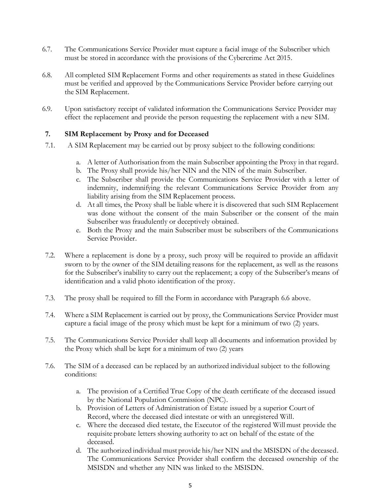- 6.7. The Communications Service Provider must capture a facial image of the Subscriber which must be stored in accordance with the provisions of the Cybercrime Act 2015.
- 6.8. All completed SIM Replacement Forms and other requirements as stated in these Guidelines must be verified and approved by the Communications Service Provider before carrying out the SIM Replacement.
- 6.9. Upon satisfactory receipt of validated information the Communications Service Provider may effect the replacement and provide the person requesting the replacement with a new SIM.

#### **7. SIM Replacement by Proxy and for Deceased**

- 7.1. A SIM Replacement may be carried out by proxy subject to the following conditions:
	- a. A letter of Authorisation from the main Subscriber appointing the Proxy in that regard.
	- b. The Proxy shall provide his/her NIN and the NIN of the main Subscriber.
	- c. The Subscriber shall provide the Communications Service Provider with a letter of indemnity, indemnifying the relevant Communications Service Provider from any liability arising from the SIM Replacement process.
	- d. At all times, the Proxy shall be liable where it is discovered that such SIM Replacement was done without the consent of the main Subscriber or the consent of the main Subscriber was fraudulently or deceptively obtained.
	- e. Both the Proxy and the main Subscriber must be subscribers of the Communications Service Provider.
- 7.2. Where a replacement is done by a proxy, such proxy will be required to provide an affidavit sworn to by the owner of the SIM detailing reasons for the replacement, as well as the reasons for the Subscriber's inability to carry out the replacement; a copy of the Subscriber's means of identification and a valid photo identification of the proxy.
- 7.3. The proxy shall be required to fill the Form in accordance with Paragraph 6.6 above.
- 7.4. Where a SIM Replacement is carried out by proxy, the Communications Service Provider must capture a facial image of the proxy which must be kept for a minimum of two (2) years.
- 7.5. The Communications Service Provider shall keep all documents and information provided by the Proxy which shall be kept for a minimum of two (2) years
- 7.6. The SIM of a deceased can be replaced by an authorized individual subject to the following conditions:
	- a. The provision of a Certified True Copy of the death certificate of the deceased issued by the National Population Commission (NPC).
	- b. Provision of Letters of Administration of Estate issued by a superior Court of Record, where the deceased died intestate or with an unregistered Will.
	- c. Where the deceased died testate, the Executor of the registered Will must provide the requisite probate letters showing authority to act on behalf of the estate of the deceased.
	- d. The authorized individual must provide his/her NIN and the MSISDN of the deceased. The Communications Service Provider shall confirm the deceased ownership of the MSISDN and whether any NIN was linked to the MSISDN.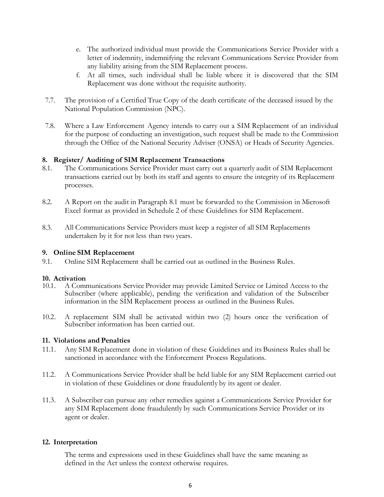- e. The authorized individual must provide the Communications Service Provider with a letter of indemnity, indemnifying the relevant Communications Service Provider from any liability arising from the SIM Replacement process.
- f. At all times, such individual shall be liable where it is discovered that the SIM Replacement was done without the requisite authority.
- 7.7. The provision of a Certified True Copy of the death certificate of the deceased issued by the National Population Commission (NPC).
- 7.8. Where a Law Enforcement Agency intends to carry out a SIM Replacement of an individual for the purpose of conducting an investigation, such request shall be made to the Commission through the Office of the National Security Adviser (ONSA) or Heads of Security Agencies.

#### **8. Register/ Auditing of SIM Replacement Transactions**

- 8.1. The Communications Service Provider must carry out a quarterly audit of SIM Replacement transactions carried out by both its staff and agents to ensure the integrity of its Replacement processes.
- 8.2. A Report on the audit in Paragraph 8.1 must be forwarded to the Commission in Microsoft Excel format as provided in Schedule 2 of these Guidelines for SIM Replacement.
- 8.3. All Communications Service Providers must keep a register of all SIM Replacements undertaken by it for not less than two years.

#### **9. Online SIM Replacement**

9.1. Online SIM Replacement shall be carried out as outlined in the Business Rules.

## **10. Activation**<br>**10.1.** A Come

- 10.1. A Communications Service Provider may provide Limited Service or Limited Access to the Subscriber (where applicable), pending the verification and validation of the Subscriber information in the SIM Replacement process as outlined in the Business Rules.
- 10.2. A replacement SIM shall be activated within two (2) hours once the verification of Subscriber information has been carried out.

#### **11. Violations and Penalties**

- 11.1. Any SIM Replacement done in violation of these Guidelines and its Business Rules shall be sanctioned in accordance with the Enforcement Process Regulations.
- 11.2. A Communications Service Provider shall be held liable for any SIM Replacement carried out in violation of these Guidelines or done fraudulently by its agent or dealer.
- 11.3. A Subscriber can pursue any other remedies against a Communications Service Provider for any SIM Replacement done fraudulently by such Communications Service Provider or its agent or dealer.

#### **12. Interpretation**

The terms and expressions used in these Guidelines shall have the same meaning as defined in the Act unless the context otherwise requires.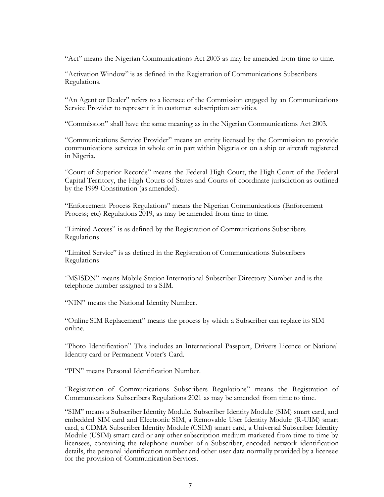"Act" means the Nigerian Communications Act 2003 as may be amended from time to time.

"Activation Window" is as defined in the Registration of Communications Subscribers Regulations.

"An Agent or Dealer" refers to a licensee of the Commission engaged by an Communications Service Provider to represent it in customer subscription activities.

"Commission" shall have the same meaning as in the Nigerian Communications Act 2003.

"Communications Service Provider" means an entity licensed by the Commission to provide communications services in whole or in part within Nigeria or on a ship or aircraft registered in Nigeria.

"Court of Superior Records" means the Federal High Court, the High Court of the Federal Capital Territory, the High Courts of States and Courts of coordinate jurisdiction as outlined by the 1999 Constitution (as amended).

"Enforcement Process Regulations" means the Nigerian Communications (Enforcement Process; etc) Regulations 2019, as may be amended from time to time.

"Limited Access" is as defined by the Registration of Communications Subscribers Regulations

"Limited Service" is as defined in the Registration of Communications Subscribers Regulations

"MSISDN" means Mobile Station International Subscriber Directory Number and is the telephone number assigned to a SIM.

"NIN" means the National Identity Number.

"Online SIM Replacement" means the process by which a Subscriber can replace its SIM online.

"Photo Identification" This includes an International Passport, Drivers Licence or National Identity card or Permanent Voter's Card.

"PIN" means Personal Identification Number.

"Registration of Communications Subscribers Regulations" means the Registration of Communications Subscribers Regulations 2021 as may be amended from time to time.

"SIM" means a Subscriber Identity Module, Subscriber Identity Module (SIM) smart card, and embedded SIM card and Electronic SIM, a Removable User Identity Module (R-UIM) smart card, a CDMA Subscriber Identity Module (CSIM) smart card, a Universal Subscriber Identity Module (USIM) smart card or any other subscription medium marketed from time to time by licensees, containing the telephone number of a Subscriber, encoded network identification details, the personal identification number and other user data normally provided by a licensee for the provision of Communication Services.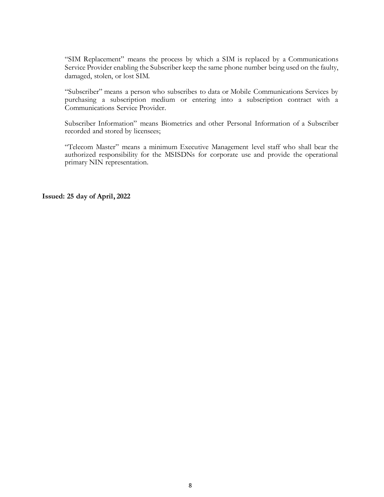"SIM Replacement" means the process by which a SIM is replaced by a Communications Service Provider enabling the Subscriber keep the same phone number being used on the faulty, damaged, stolen, or lost SIM.

"Subscriber" means a person who subscribes to data or Mobile Communications Services by purchasing a subscription medium or entering into a subscription contract with a Communications Service Provider.

Subscriber Information" means Biometrics and other Personal Information of a Subscriber recorded and stored by licensees;

"Telecom Master" means a minimum Executive Management level staff who shall bear the authorized responsibility for the MSISDNs for corporate use and provide the operational primary NIN representation.

**Issued: 25 day of April, 2022**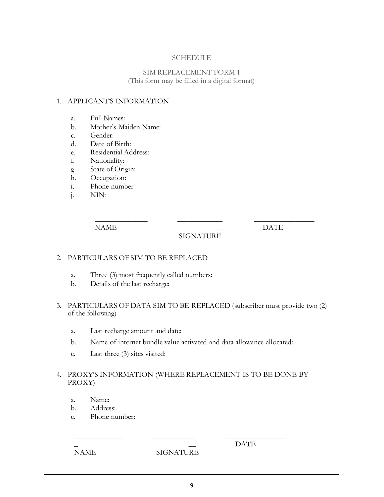#### SCHEDULE

#### SIM REPLACEMENT FORM 1 (This form may be filled in a digital format)

#### 1. APPLICANT'S INFORMATION

- a. Full Names:
- b. Mother's Maiden Name:
- c. Gender:
- d. Date of Birth:
- e. Residential Address:
- f. Nationality:
- g. State of Origin:
- h. Occupation:
- i. Phone number
- j. NIN:

NAME

#### $\overline{\phantom{0}}$ SIGNATURE

 $\overline{\phantom{a}}$  , where  $\overline{\phantom{a}}$ 

DATE

#### 2. PARTICULARS OF SIM TO BE REPLACED

- a. Three (3) most frequently called numbers:
- b. Details of the last recharge:

 $\overline{\phantom{a}}$ 

3. PARTICULARS OF DATA SIM TO BE REPLACED (subscriber must provide two (2) of the following)

 $\overline{\phantom{a}}$ 

- a. Last recharge amount and date:
- b. Name of internet bundle value activated and data allowance allocated:
- c. Last three (3) sites visited:

#### 4. PROXY'S INFORMATION (WHERE REPLACEMENT IS TO BE DONE BY PROXY)

- a. Name:
- b. Address:
- c. Phone number:

 $\overline{\phantom{a}}$ 

\_ NAME

 $\overline{\phantom{0}}$ **SIGNATURE** 

 $\overline{\phantom{a}}$  , where  $\overline{\phantom{a}}$ 

DATE

 $\overline{\phantom{a}}$  , where  $\overline{\phantom{a}}$